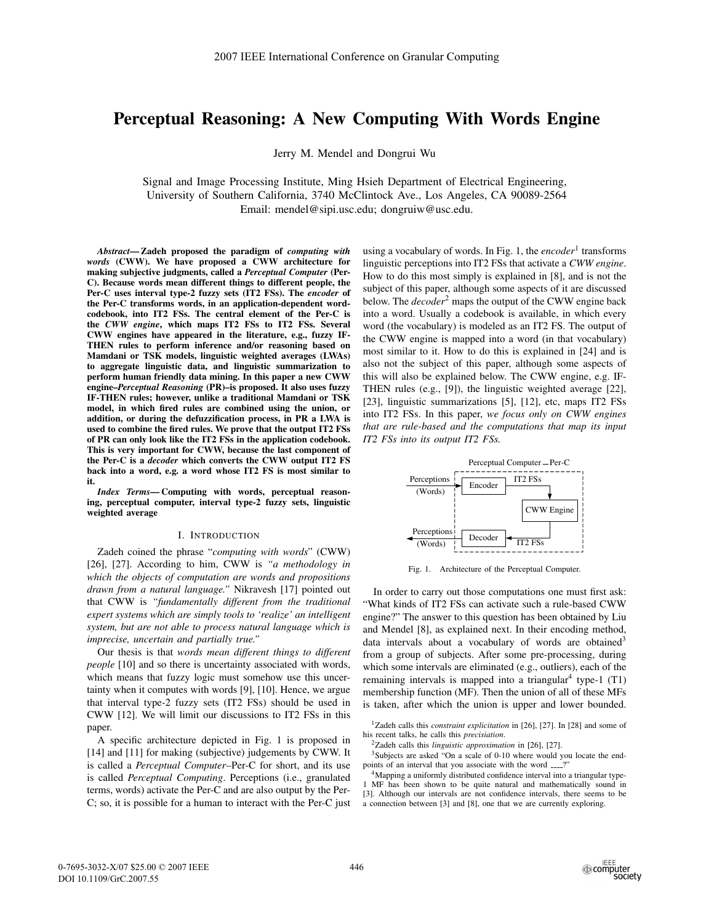# **Perceptual Reasoning: A New Computing With Words Engine**

Jerry M. Mendel and Dongrui Wu

Signal and Image Processing Institute, Ming Hsieh Department of Electrical Engineering, University of Southern California, 3740 McClintock Ave., Los Angeles, CA 90089-2564 Email: mendel@sipi.usc.edu; dongruiw@usc.edu.

*Abstract***— Zadeh proposed the paradigm of** *computing with words* **(CWW). We have proposed a CWW architecture for making subjective judgments, called a** *Perceptual Computer* **(Per-C). Because words mean different things to different people, the Per-C uses interval type-2 fuzzy sets (IT2 FSs). The** *encoder* **of the Per-C transforms words, in an application-dependent wordcodebook, into IT2 FSs. The central element of the Per-C is the** *CWW engine***, which maps IT2 FSs to IT2 FSs. Several CWW engines have appeared in the literature, e.g., fuzzy IF-THEN rules to perform inference and/or reasoning based on Mamdani or TSK models, linguistic weighted averages (LWAs) to aggregate linguistic data, and linguistic summarization to perform human friendly data mining. In this paper a new CWW engine–***Perceptual Reasoning* **(PR)–is proposed. It also uses fuzzy IF-THEN rules; however, unlike a traditional Mamdani or TSK model, in which fired rules are combined using the union, or addition, or during the defuzzification process, in PR a LWA is used to combine the fired rules. We prove that the output IT2 FSs of PR can only look like the IT2 FSs in the application codebook. This is very important for CWW, because the last component of the Per-C is a** *decoder* **which converts the CWW output IT2 FS back into a word, e.g. a word whose IT2 FS is most similar to it.**

*Index Terms***— Computing with words, perceptual reasoning, perceptual computer, interval type-2 fuzzy sets, linguistic weighted average**

### I. INTRODUCTION

Zadeh coined the phrase "*computing with words*" (CWW) [26], [27]. According to him, CWW is *"a methodology in which the objects of computation are words and propositions drawn from a natural language."* Nikravesh [17] pointed out that CWW is *"fundamentally different from the traditional expert systems which are simply tools to 'realize' an intelligent system, but are not able to process natural language which is imprecise, uncertain and partially true."*

Our thesis is that *words mean different things to different people* [10] and so there is uncertainty associated with words, which means that fuzzy logic must somehow use this uncertainty when it computes with words [9], [10]. Hence, we argue that interval type-2 fuzzy sets (IT2 FSs) should be used in CWW [12]. We will limit our discussions to IT2 FSs in this paper.

A specific architecture depicted in Fig. 1 is proposed in [14] and [11] for making (subjective) judgements by CWW. It is called a *Perceptual Computer*–Per-C for short, and its use is called *Perceptual Computing*. Perceptions (i.e., granulated terms, words) activate the Per-C and are also output by the Per-C; so, it is possible for a human to interact with the Per-C just

using a vocabulary of words. In Fig. 1, the *encoder*<sup>1</sup> transforms linguistic perceptions into IT2 FSs that activate a *CWW engine*. How to do this most simply is explained in [8], and is not the subject of this paper, although some aspects of it are discussed below. The *decoder*<sup>2</sup> maps the output of the CWW engine back into a word. Usually a codebook is available, in which every word (the vocabulary) is modeled as an IT2 FS. The output of the CWW engine is mapped into a word (in that vocabulary) most similar to it. How to do this is explained in [24] and is also not the subject of this paper, although some aspects of this will also be explained below. The CWW engine, e.g. IF-THEN rules (e.g., [9]), the linguistic weighted average [22], [23], linguistic summarizations [5], [12], etc, maps IT2 FSs into IT2 FSs. In this paper, *we focus only on CWW engines that are rule-based and the computations that map its input IT2 FSs into its output IT2 FSs.*



Fig. 1. Architecture of the Perceptual Computer.

In order to carry out those computations one must first ask: "What kinds of IT2 FSs can activate such a rule-based CWW engine?" The answer to this question has been obtained by Liu and Mendel [8], as explained next. In their encoding method, data intervals about a vocabulary of words are obtained<sup>3</sup> from a group of subjects. After some pre-processing, during which some intervals are eliminated (e.g., outliers), each of the remaining intervals is mapped into a triangular<sup>4</sup> type-1  $(T1)$ membership function (MF). Then the union of all of these MFs is taken, after which the union is upper and lower bounded.

1Zadeh calls this *constraint explicitation* in [26], [27]. In [28] and some of his recent talks, he calls this *precisiation*.

2Zadeh calls this *linguistic approximation* in [26], [27].

<sup>3</sup>Subjects are asked "On a scale of 0-10 where would you locate the endpoints of an interval that you associate with the word \_\_\_?

<sup>4</sup>Mapping a uniformly distributed confidence interval into a triangular type-1 MF has been shown to be quite natural and mathematically sound in [3]. Although our intervals are not confidence intervals, there seems to be a connection between [3] and [8], one that we are currently exploring.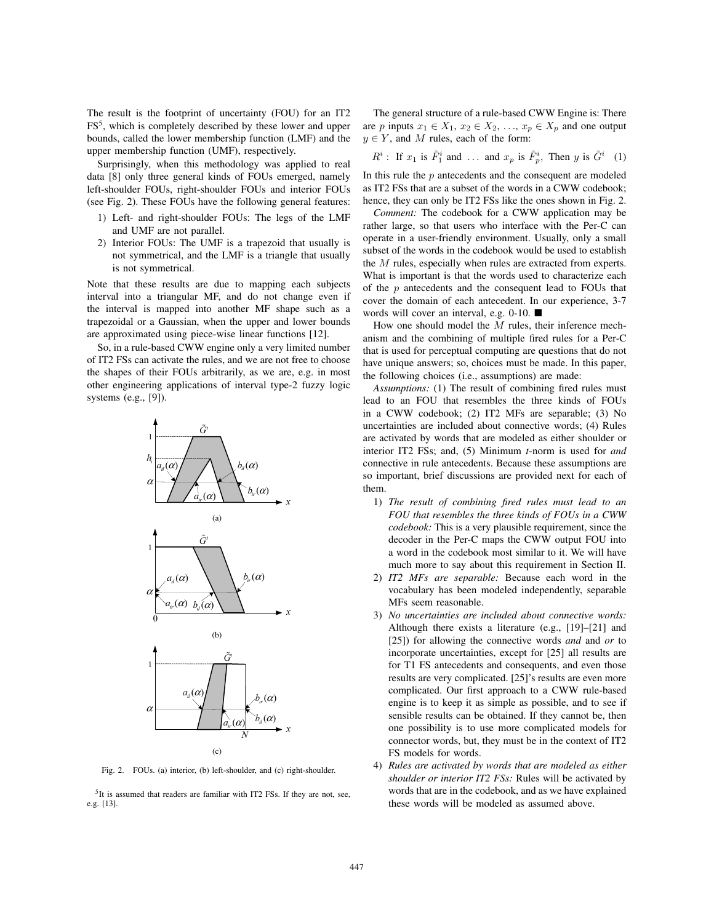The result is the footprint of uncertainty (FOU) for an IT2 FS5, which is completely described by these lower and upper bounds, called the lower membership function (LMF) and the upper membership function (UMF), respectively.

Surprisingly, when this methodology was applied to real data [8] only three general kinds of FOUs emerged, namely left-shoulder FOUs, right-shoulder FOUs and interior FOUs (see Fig. 2). These FOUs have the following general features:

- 1) Left- and right-shoulder FOUs: The legs of the LMF and UMF are not parallel.
- 2) Interior FOUs: The UMF is a trapezoid that usually is not symmetrical, and the LMF is a triangle that usually is not symmetrical.

Note that these results are due to mapping each subjects interval into a triangular MF, and do not change even if the interval is mapped into another MF shape such as a trapezoidal or a Gaussian, when the upper and lower bounds are approximated using piece-wise linear functions [12].

So, in a rule-based CWW engine only a very limited number of IT2 FSs can activate the rules, and we are not free to choose the shapes of their FOUs arbitrarily, as we are, e.g. in most other engineering applications of interval type-2 fuzzy logic systems (e.g., [9]).



Fig. 2. FOUs. (a) interior, (b) left-shoulder, and (c) right-shoulder.

<sup>5</sup>It is assumed that readers are familiar with IT2 FSs. If they are not, see, e.g. [13].

The general structure of a rule-based CWW Engine is: There are p inputs  $x_1 \in X_1$ ,  $x_2 \in X_2$ , ...,  $x_p \in X_p$  and one output  $y \in Y$ , and M rules, each of the form:

$$
R^i
$$
: If  $x_1$  is  $\tilde{F}_1^i$  and ... and  $x_p$  is  $\tilde{F}_p^i$ , Then y is  $\tilde{G}^i$  (1)

In this rule the  $p$  antecedents and the consequent are modeled as IT2 FSs that are a subset of the words in a CWW codebook; hence, they can only be IT2 FSs like the ones shown in Fig. 2.

*Comment:* The codebook for a CWW application may be rather large, so that users who interface with the Per-C can operate in a user-friendly environment. Usually, only a small subset of the words in the codebook would be used to establish the M rules, especially when rules are extracted from experts. What is important is that the words used to characterize each of the  $p$  antecedents and the consequent lead to FOUs that cover the domain of each antecedent. In our experience, 3-7 words will cover an interval, e.g. 0-10. ■

How one should model the M rules, their inference mechanism and the combining of multiple fired rules for a Per-C that is used for perceptual computing are questions that do not have unique answers; so, choices must be made. In this paper, the following choices (i.e., assumptions) are made:

*Assumptions:* (1) The result of combining fired rules must lead to an FOU that resembles the three kinds of FOUs in a CWW codebook; (2) IT2 MFs are separable; (3) No uncertainties are included about connective words; (4) Rules are activated by words that are modeled as either shoulder or interior IT2 FSs; and, (5) Minimum *t*-norm is used for *and* connective in rule antecedents. Because these assumptions are so important, brief discussions are provided next for each of them.

- 1) *The result of combining fired rules must lead to an FOU that resembles the three kinds of FOUs in a CWW codebook:* This is a very plausible requirement, since the decoder in the Per-C maps the CWW output FOU into a word in the codebook most similar to it. We will have much more to say about this requirement in Section II.
- 2) *IT2 MFs are separable:* Because each word in the vocabulary has been modeled independently, separable MFs seem reasonable.
- 3) *No uncertainties are included about connective words:* Although there exists a literature (e.g., [19]–[21] and [25]) for allowing the connective words *and* and *or* to incorporate uncertainties, except for [25] all results are for T1 FS antecedents and consequents, and even those results are very complicated. [25]'s results are even more complicated. Our first approach to a CWW rule-based engine is to keep it as simple as possible, and to see if sensible results can be obtained. If they cannot be, then one possibility is to use more complicated models for connector words, but, they must be in the context of IT2 FS models for words.
- 4) *Rules are activated by words that are modeled as either shoulder or interior IT2 FSs:* Rules will be activated by words that are in the codebook, and as we have explained these words will be modeled as assumed above.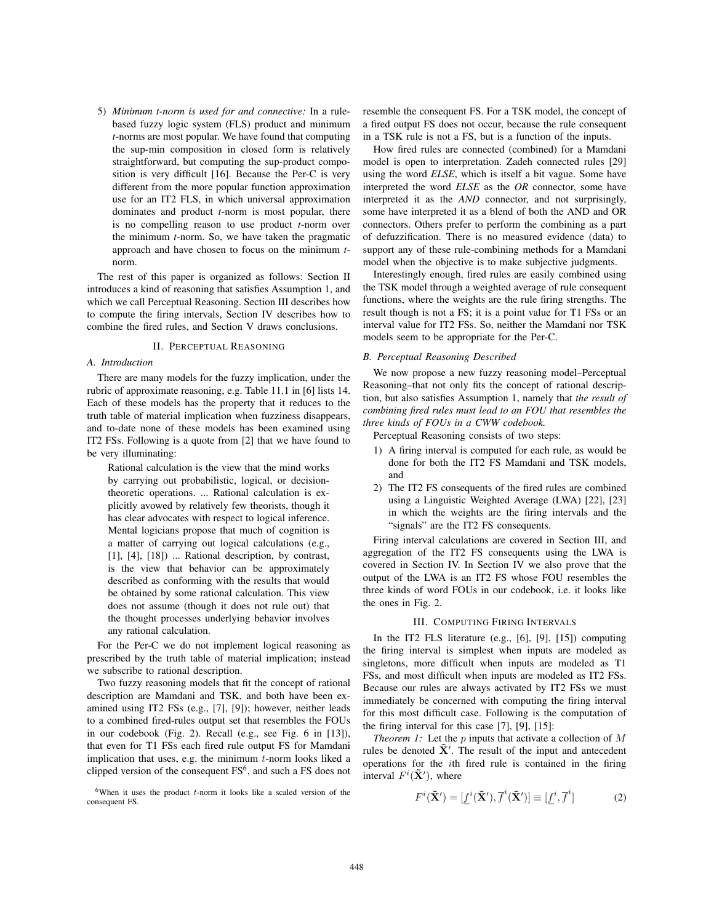5) *Minimum t-norm is used for and connective:* In a rulebased fuzzy logic system (FLS) product and minimum *t*-norms are most popular. We have found that computing the sup-min composition in closed form is relatively straightforward, but computing the sup-product composition is very difficult [16]. Because the Per-C is very different from the more popular function approximation use for an IT2 FLS, in which universal approximation dominates and product *t*-norm is most popular, there is no compelling reason to use product *t*-norm over the minimum *t*-norm. So, we have taken the pragmatic approach and have chosen to focus on the minimum *t*norm.

The rest of this paper is organized as follows: Section II introduces a kind of reasoning that satisfies Assumption 1, and which we call Perceptual Reasoning. Section III describes how to compute the firing intervals, Section IV describes how to combine the fired rules, and Section V draws conclusions.

# II. PERCEPTUAL REASONING

### *A. Introduction*

There are many models for the fuzzy implication, under the rubric of approximate reasoning, e.g. Table 11.1 in [6] lists 14. Each of these models has the property that it reduces to the truth table of material implication when fuzziness disappears, and to-date none of these models has been examined using IT2 FSs. Following is a quote from [2] that we have found to be very illuminating:

Rational calculation is the view that the mind works by carrying out probabilistic, logical, or decisiontheoretic operations. ... Rational calculation is explicitly avowed by relatively few theorists, though it has clear advocates with respect to logical inference. Mental logicians propose that much of cognition is a matter of carrying out logical calculations (e.g., [1], [4], [18]) ... Rational description, by contrast, is the view that behavior can be approximately described as conforming with the results that would be obtained by some rational calculation. This view does not assume (though it does not rule out) that the thought processes underlying behavior involves any rational calculation.

For the Per-C we do not implement logical reasoning as prescribed by the truth table of material implication; instead we subscribe to rational description.

Two fuzzy reasoning models that fit the concept of rational description are Mamdani and TSK, and both have been examined using IT2 FSs (e.g., [7], [9]); however, neither leads to a combined fired-rules output set that resembles the FOUs in our codebook (Fig. 2). Recall (e.g., see Fig. 6 in [13]), that even for T1 FSs each fired rule output FS for Mamdani implication that uses, e.g. the minimum t-norm looks liked a clipped version of the consequent  $FS<sup>6</sup>$ , and such a FS does not

 $6$ When it uses the product  $t$ -norm it looks like a scaled version of the consequent FS.

resemble the consequent FS. For a TSK model, the concept of a fired output FS does not occur, because the rule consequent in a TSK rule is not a FS, but is a function of the inputs.

How fired rules are connected (combined) for a Mamdani model is open to interpretation. Zadeh connected rules [29] using the word *ELSE*, which is itself a bit vague. Some have interpreted the word *ELSE* as the *OR* connector, some have interpreted it as the *AND* connector, and not surprisingly, some have interpreted it as a blend of both the AND and OR connectors. Others prefer to perform the combining as a part of defuzzification. There is no measured evidence (data) to support any of these rule-combining methods for a Mamdani model when the objective is to make subjective judgments.

Interestingly enough, fired rules are easily combined using the TSK model through a weighted average of rule consequent functions, where the weights are the rule firing strengths. The result though is not a FS; it is a point value for T1 FSs or an interval value for IT2 FSs. So, neither the Mamdani nor TSK models seem to be appropriate for the Per-C.

# *B. Perceptual Reasoning Described*

We now propose a new fuzzy reasoning model–Perceptual Reasoning–that not only fits the concept of rational description, but also satisfies Assumption 1, namely that *the result of combining fired rules must lead to an FOU that resembles the three kinds of FOUs in a CWW codebook.*

Perceptual Reasoning consists of two steps:

- 1) A firing interval is computed for each rule, as would be done for both the IT2 FS Mamdani and TSK models, and
- 2) The IT2 FS consequents of the fired rules are combined using a Linguistic Weighted Average (LWA) [22], [23] in which the weights are the firing intervals and the "signals" are the IT2 FS consequents.

Firing interval calculations are covered in Section III, and aggregation of the IT2 FS consequents using the LWA is covered in Section IV. In Section IV we also prove that the output of the LWA is an IT2 FS whose FOU resembles the three kinds of word FOUs in our codebook, i.e. it looks like the ones in Fig. 2.

# III. COMPUTING FIRING INTERVALS

In the IT2 FLS literature (e.g., [6], [9], [15]) computing the firing interval is simplest when inputs are modeled as singletons, more difficult when inputs are modeled as T1 FSs, and most difficult when inputs are modeled as IT2 FSs. Because our rules are always activated by IT2 FSs we must immediately be concerned with computing the firing interval for this most difficult case. Following is the computation of the firing interval for this case [7], [9], [15]:

*Theorem 1:* Let the *p* inputs that activate a collection of M rules be denoted  $\tilde{\mathbf{X}}'$ . The result of the input and antecedent operations for the ith fired rule is contained in the firing interval  $F^i(\tilde{\mathbf{X}}')$ , where

$$
F^{i}(\tilde{\mathbf{X}}') = [\underline{f}^{i}(\tilde{\mathbf{X}}'), \overline{f}^{i}(\tilde{\mathbf{X}}')] \equiv [\underline{f}^{i}, \overline{f}^{i}]
$$
 (2)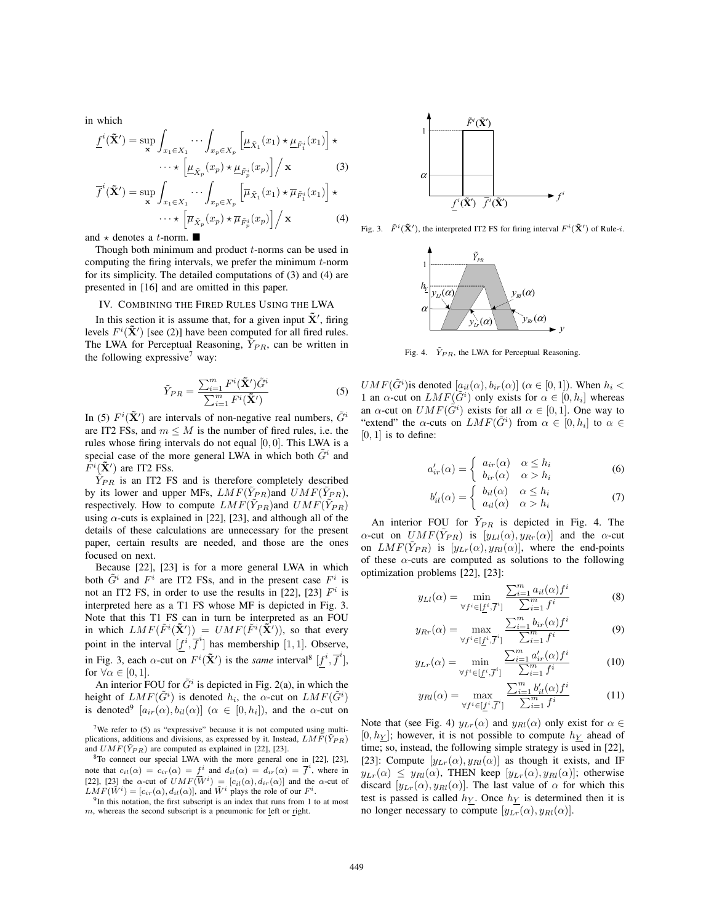in which

$$
\underline{f}^{i}(\tilde{\mathbf{X}}') = \sup_{\mathbf{x}} \int_{x_{1} \in X_{1}} \cdots \int_{x_{p} \in X_{p}} \left[ \underline{\mu}_{\tilde{X}_{1}}(x_{1}) \star \underline{\mu}_{\tilde{F}_{1}^{i}}(x_{1}) \right] \star
$$

$$
\cdots \star \left[ \underline{\mu}_{\tilde{X}_{p}}(x_{p}) \star \underline{\mu}_{\tilde{F}_{p}^{i}}(x_{p}) \right] / \mathbf{x}
$$
(3)

$$
\overline{f}^{i}(\tilde{\mathbf{X}}') = \sup_{\mathbf{x}} \int_{x_{1} \in X_{1}} \cdots \int_{x_{p} \in X_{p}} \left[ \overline{\mu}_{\tilde{X}_{1}}(x_{1}) \star \overline{\mu}_{\tilde{F}_{1}^{i}}(x_{1}) \right] \star \cdots \star \left[ \overline{\mu}_{\tilde{X}_{p}}(x_{p}) \star \overline{\mu}_{\tilde{F}_{p}^{i}}(x_{p}) \right] / \mathbf{x}
$$
\n(4)

and  $\star$  denotes a *t*-norm.

Though both minimum and product  $t$ -norms can be used in computing the firing intervals, we prefer the minimum  $t$ -norm for its simplicity. The detailed computations of (3) and (4) are presented in [16] and are omitted in this paper.

## IV. COMBINING THE FIRED RULES USING THE LWA

In this section it is assume that, for a given input  $\tilde{\mathbf{X}}'$ , firing levels  $F^i(\tilde{\mathbf{X}}')$  [see (2)] have been computed for all fired rules. The LWA for Perceptual Reasoning,  $\tilde{Y}_{PR}$ , can be written in the following expressive<sup>7</sup> way:

$$
\tilde{Y}_{PR} = \frac{\sum_{i=1}^{m} F^i(\tilde{\mathbf{X}}') \tilde{G}^i}{\sum_{i=1}^{m} F^i(\tilde{\mathbf{X}}')} \tag{5}
$$

In (5)  $F^i(\tilde{\mathbf{X}}')$  are intervals of non-negative real numbers,  $\tilde{G}^i$ are IT2 FSs, and  $m \leq M$  is the number of fired rules, i.e. the rules whose firing intervals do not equal [0, 0]. This LWA is a special case of the more general LWA in which both  $\tilde{G}^i$  and  $\tilde{F}^i(\tilde{\mathbf{X}}')$  are IT2 FSs.

 $\tilde{Y}_{PR}$  is an IT2 FS and is therefore completely described by its lower and upper MFs,  $LMF(\tilde{Y}_{PR})$  and  $UMF(\tilde{Y}_{PR})$ , respectively. How to compute  $LMF(\tilde{Y}_{PR})$  and  $UMF(\tilde{Y}_{PR})$ using  $\alpha$ -cuts is explained in [22], [23], and although all of the details of these calculations are unnecessary for the present paper, certain results are needed, and those are the ones focused on next.

Because [22], [23] is for a more general LWA in which both  $G^i$  and  $F^i$  are IT2 FSs, and in the present case  $F^i$  is not an IT2 FS, in order to use the results in [22], [23]  $F^i$  is interpreted here as a T1 FS whose MF is depicted in Fig. 3. Note that this T1 FS can in turn be interpreted as an FOU in which  $LMF(\tilde{F}^i(\tilde{\mathbf{X}}')) = UMF(\tilde{F}^i(\tilde{\mathbf{X}}'))$ , so that every point in the interval  $[f^i, \overline{f}^i]$  has membership [1, 1]. Observe, in Fig. 3, each  $\alpha$ -cut on  $F^i(\tilde{\mathbf{X}}')$  is the *same* interval<sup>8</sup>  $[f^i, \overline{f}^i]$ , for  $\forall \alpha \in [0,1]$ .

An interior FOU for  $\tilde{G}^i$  is depicted in Fig. 2(a), in which the height of  $LMF(\tilde{G}^i)$  is denoted  $h_i$ , the  $\alpha$ -cut on  $LMF(\tilde{G}^i)$ is denoted<sup>9</sup>  $[a_{ir}(\alpha), b_{il}(\alpha)]$  ( $\alpha \in [0, h_i]$ ), and the  $\alpha$ -cut on



Fig. 3.  $\tilde{F}^i(\tilde{\mathbf{X}}')$ , the interpreted IT2 FS for firing interval  $F^i(\tilde{\mathbf{X}}')$  of Rule-*i*.



Fig. 4.  $\tilde{Y}_{PR}$ , the LWA for Perceptual Reasoning.

 $UMF(\tilde{G}^i)$  is denoted  $[a_{il}(\alpha), b_{ir}(\alpha)]$  ( $\alpha \in [0, 1]$ ). When  $h_i <$ 1 an  $\alpha$ -cut on  $LMF(\tilde{G}^i)$  only exists for  $\alpha \in [0, h_i]$  whereas an  $\alpha$ -cut on  $UMF(\tilde{G}^i)$  exists for all  $\alpha \in [0,1]$ . One way to "extend" the  $\alpha$ -cuts on  $LMF(\tilde{G}^i)$  from  $\alpha \in [0, h_i]$  to  $\alpha \in$  $[0, 1]$  is to define:

$$
a'_{ir}(\alpha) = \begin{cases} a_{ir}(\alpha) & \alpha \le h_i \\ b_{ir}(\alpha) & \alpha > h_i \end{cases}
$$
 (6)

$$
b'_{il}(\alpha) = \begin{cases} b_{il}(\alpha) & \alpha \le h_i \\ a_{il}(\alpha) & \alpha > h_i \end{cases}
$$
 (7)

An interior FOU for  $\tilde{Y}_{PR}$  is depicted in Fig. 4. The  $\alpha$ -cut on  $UMF(Y_{PR})$  is  $[y_{Ll}(\alpha), y_{Rr}(\alpha)]$  and the  $\alpha$ -cut on  $LMF(\tilde{Y}_{PR})$  is  $[y_{Lr}(\alpha), y_{Rl}(\alpha)]$ , where the end-points of these  $\alpha$ -cuts are computed as solutions to the following optimization problems [22], [23]:

$$
y_{LI}(\alpha) = \min_{\forall f^i \in [\underline{f}^i, \overline{f}^i]} \frac{\sum_{i=1}^m a_{il}(\alpha) f^i}{\sum_{i=1}^m f^i}
$$
(8)

$$
y_{Rr}(\alpha) = \max_{\forall f^i \in [\underline{f}^i, \overline{f}^i]} \frac{\sum_{i=1}^m b_{ir}(\alpha) f^i}{\sum_{i=1}^m f^i}
$$
(9)

$$
y_{Lr}(\alpha) = \min_{\forall f^i \in [\underline{f}^i, \overline{f}^i]} \frac{\sum_{i=1}^m a'_{ir}(\alpha) f^i}{\sum_{i=1}^m f^i}
$$
(10)

$$
y_{Rl}(\alpha) = \max_{\forall f^i \in [\underline{f}^i, \overline{f}^i]} \frac{\sum_{i=1}^m b'_{il}(\alpha) f^i}{\sum_{i=1}^m f^i}
$$
(11)

Note that (see Fig. 4)  $y_{Lr}(\alpha)$  and  $y_{Rl}(\alpha)$  only exist for  $\alpha \in$  $[0, h_Y]$ ; however, it is not possible to compute  $h_Y$  ahead of time; so, instead, the following simple strategy is used in [22], [23]: Compute  $[y_{Lr}(\alpha), y_{Rl}(\alpha)]$  as though it exists, and IF  $y_{Lr}(\alpha) \leq y_{Rl}(\alpha)$ , THEN keep  $[y_{Lr}(\alpha), y_{Rl}(\alpha)]$ ; otherwise discard  $[y_{Lr}(\alpha), y_{Rl}(\alpha)]$ . The last value of  $\alpha$  for which this test is passed is called  $h<sub>Y</sub>$ . Once  $h<sub>Y</sub>$  is determined then it is no longer necessary to compute  $[y_{Lr}(\alpha), y_{Rl}(\alpha)].$ 

<sup>&</sup>lt;sup>7</sup>We refer to  $(5)$  as "expressive" because it is not computed using multiplications, additions and divisions, as expressed by it. Instead,  $LMF(Y_{PR})$  and  $UMF(\tilde{Y}_{PR})$  are computed as explained in [22], [23].

<sup>&</sup>lt;sup>8</sup>To connect our special LWA with the more general one in [22], [23], note that  $c_{il}(\alpha) = c_{ir}(\alpha) = f^i$  and  $d_{il}(\alpha) = d_{ir}(\alpha) = \overline{f}^i$ , where in [22], [23] the  $\alpha$ -cut of  $UMF(\tilde{W}^i) = [c_{il}(\alpha), d_{ir}(\alpha)]$  and the  $\alpha$ -cut of

 $LMF(\tilde{W}^i) = [c_{ir}(\alpha), d_{il}(\alpha)]$ , and  $\tilde{W}^i$  plays the role of our  $F^i$ . <sup>9</sup>In this notation, the first subscript is an index that runs from 1 to at most <sup>9</sup>In this notation, the first subscript is an index that runs from 1 to at most  $m$ , whereas the second subscript is a pneumonic for <u>left</u> or right.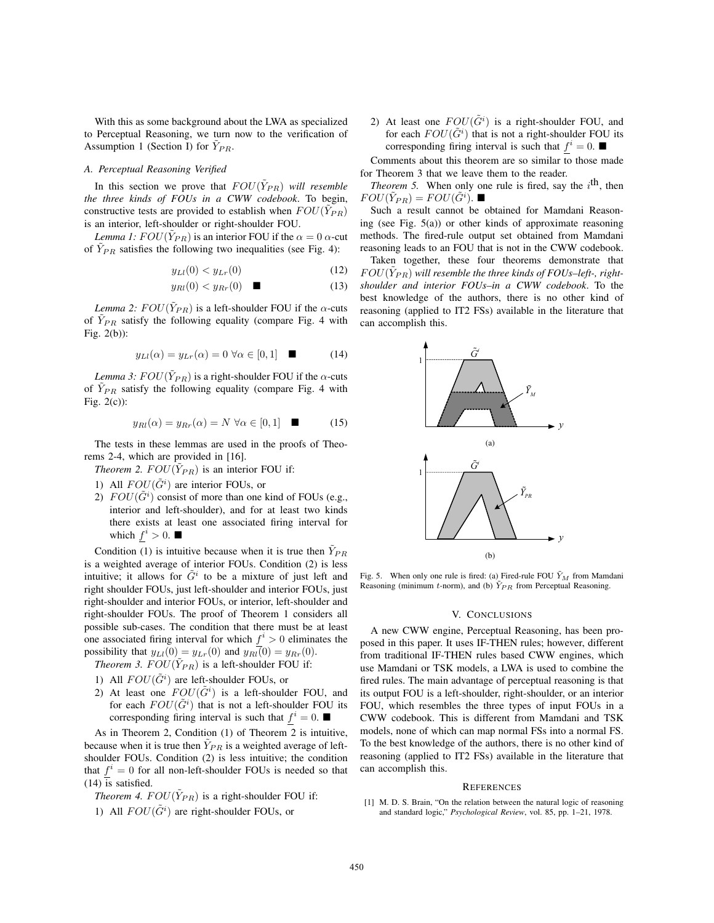With this as some background about the LWA as specialized to Perceptual Reasoning, we turn now to the verification of Assumption 1 (Section I) for  $Y_{PR}$ .

## *A. Perceptual Reasoning Verified*

In this section we prove that  $FOU(\tilde{Y}_{PR})$  *will resemble the three kinds of FOUs in a CWW codebook*. To begin, constructive tests are provided to establish when  $FOU(Y_{PR})$ is an interior, left-shoulder or right-shoulder FOU.

*Lemma 1:*  $FOU(Y_{PR})$  is an interior FOU if the  $\alpha = 0$   $\alpha$ -cut of  $\tilde{Y}_{PR}$  satisfies the following two inequalities (see Fig. 4):

$$
y_{Ll}(0) < y_{Lr}(0) \tag{12}
$$

$$
y_{Rl}(0) < y_{Rr}(0) \quad \blacksquare \tag{13}
$$

*Lemma 2:*  $FOU(\tilde{Y}_{PR})$  is a left-shoulder FOU if the  $\alpha$ -cuts of  $\tilde{Y}_{PR}$  satisfy the following equality (compare Fig. 4 with Fig. 2(b)):

$$
y_{Ll}(\alpha) = y_{Lr}(\alpha) = 0 \,\forall \alpha \in [0,1] \quad \blacksquare \tag{14}
$$

*Lemma 3:*  $FOU(\tilde{Y}_{PR})$  is a right-shoulder FOU if the  $\alpha$ -cuts of  $\tilde{Y}_{PR}$  satisfy the following equality (compare Fig. 4 with Fig. 2(c)):

$$
y_{Rl}(\alpha) = y_{Rr}(\alpha) = N \,\,\forall \alpha \in [0,1] \quad \blacksquare \tag{15}
$$

The tests in these lemmas are used in the proofs of Theorems 2-4, which are provided in [16].

*Theorem 2.*  $FOU(Y_{PR})$  *is an interior FOU if:* 

- 1) All  $FOU(\tilde{G}^i)$  are interior FOUs, or
- 2)  $FOU(\tilde{G}^i)$  consist of more than one kind of FOUs (e.g., interior and left-shoulder), and for at least two kinds there exists at least one associated firing interval for which  $f^i > 0$ .

Condition (1) is intuitive because when it is true then  $\overline{Y}_{PR}$ is a weighted average of interior FOUs. Condition (2) is less intuitive; it allows for  $\tilde{G}^i$  to be a mixture of just left and right shoulder FOUs, just left-shoulder and interior FOUs, just right-shoulder and interior FOUs, or interior, left-shoulder and right-shoulder FOUs. The proof of Theorem 1 considers all possible sub-cases. The condition that there must be at least one associated firing interval for which  $f^{i} > 0$  eliminates the possibility that  $y_{Ll}(0) = y_{Lr}(0)$  and  $y_{Rl}(0) = y_{Rr}(0)$ .

*Theorem 3.*  $FOU(\tilde{Y}_{PR})$  *is a left-shoulder FOU if:* 

- 1) All  $FOU(\tilde{G}^i)$  are left-shoulder FOUs, or
- 2) At least one  $FOU(\tilde{G}^i)$  is a left-shoulder FOU, and for each  $FOU(\tilde{G}^i)$  that is not a left-shoulder FOU its corresponding firing interval is such that  $f^i = 0$ .

As in Theorem 2, Condition (1) of Theorem 2 is intuitive, because when it is true then  $Y_{PR}$  is a weighted average of leftshoulder FOUs. Condition (2) is less intuitive; the condition that  $f^{i} = 0$  for all non-left-shoulder FOUs is needed so that (14) is satisfied.

*Theorem 4.*  $FOU(\tilde{Y}_{PR})$  *is a right-shoulder FOU if:* 1) All  $FOU(\tilde{G}^i)$  are right-shoulder FOUs, or

2) At least one  $FOU(\tilde{G}^i)$  is a right-shoulder FOU, and for each  $FOU(\tilde{G}^i)$  that is not a right-shoulder FOU its corresponding firing interval is such that  $f^i = 0$ .

Comments about this theorem are so similar to those made for Theorem 3 that we leave them to the reader.

*Theorem 5.* When only one rule is fired, say the  $i^{\text{th}}$ , then  $FOU(\tilde{Y}_{PR}) = FOU(\tilde{G}^i)$ .

Such a result cannot be obtained for Mamdani Reasoning (see Fig. 5(a)) or other kinds of approximate reasoning methods. The fired-rule output set obtained from Mamdani reasoning leads to an FOU that is not in the CWW codebook.

Taken together, these four theorems demonstrate that  $FOU(Y_{PR})$  will resemble the three kinds of FOUs–left-, right*shoulder and interior FOUs–in a CWW codebook*. To the best knowledge of the authors, there is no other kind of reasoning (applied to IT2 FSs) available in the literature that can accomplish this.



Fig. 5. When only one rule is fired: (a) Fired-rule FOU  $\tilde{Y}_M$  from Mamdani Reasoning (minimum t-norm), and (b)  $\tilde{Y}_{PR}$  from Perceptual Reasoning.

#### V. CONCLUSIONS

A new CWW engine, Perceptual Reasoning, has been proposed in this paper. It uses IF-THEN rules; however, different from traditional IF-THEN rules based CWW engines, which use Mamdani or TSK models, a LWA is used to combine the fired rules. The main advantage of perceptual reasoning is that its output FOU is a left-shoulder, right-shoulder, or an interior FOU, which resembles the three types of input FOUs in a CWW codebook. This is different from Mamdani and TSK models, none of which can map normal FSs into a normal FS. To the best knowledge of the authors, there is no other kind of reasoning (applied to IT2 FSs) available in the literature that can accomplish this.

#### **REFERENCES**

[1] M. D. S. Brain, "On the relation between the natural logic of reasoning and standard logic," *Psychological Review*, vol. 85, pp. 1–21, 1978.